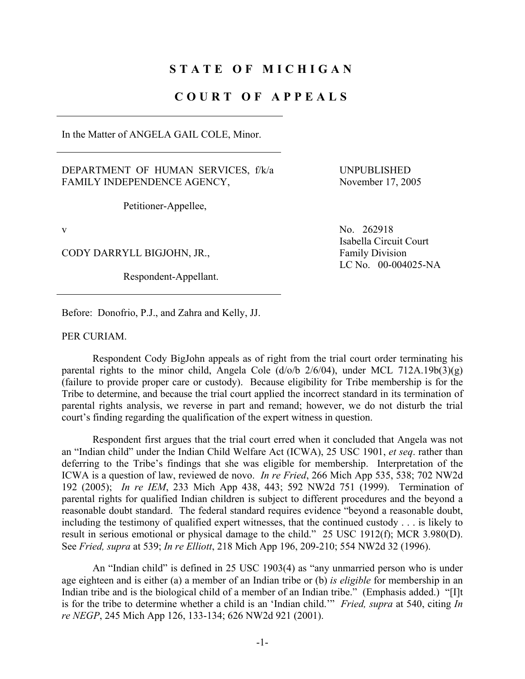## **STATE OF MICHIGAN**

## **COURT OF APPEALS**

In the Matter of ANGELA GAIL COLE, Minor.

## DEPARTMENT OF HUMAN SERVICES, f/k/a FAMILY INDEPENDENCE AGENCY,

 UNPUBLISHED November 17, 2005

Petitioner-Appellee,

CODY DARRYLL BIGJOHN, JR., Family Division

Respondent-Appellant.

v No. 262918 Isabella Circuit Court LC No. 00-004025-NA

Before: Donofrio, P.J., and Zahra and Kelly, JJ.

PER CURIAM.

 Respondent Cody BigJohn appeals as of right from the trial court order terminating his parental rights to the minor child, Angela Cole  $(d/\text{o}/b \frac{2}{6}/04)$ , under MCL 712A.19b(3)(g) (failure to provide proper care or custody). Because eligibility for Tribe membership is for the Tribe to determine, and because the trial court applied the incorrect standard in its termination of parental rights analysis, we reverse in part and remand; however, we do not disturb the trial court's finding regarding the qualification of the expert witness in question.

 Respondent first argues that the trial court erred when it concluded that Angela was not an "Indian child" under the Indian Child Welfare Act (ICWA), 25 USC 1901, *et seq*. rather than deferring to the Tribe's findings that she was eligible for membership. Interpretation of the ICWA is a question of law, reviewed de novo. *In re Fried*, 266 Mich App 535, 538; 702 NW2d 192 (2005); *In re IEM*, 233 Mich App 438, 443; 592 NW2d 751 (1999). Termination of parental rights for qualified Indian children is subject to different procedures and the beyond a reasonable doubt standard. The federal standard requires evidence "beyond a reasonable doubt, including the testimony of qualified expert witnesses, that the continued custody . . . is likely to result in serious emotional or physical damage to the child." 25 USC 1912(f); MCR 3.980(D). See *Fried, supra* at 539; *In re Elliott*, 218 Mich App 196, 209-210; 554 NW2d 32 (1996).

 An "Indian child" is defined in 25 USC 1903(4) as "any unmarried person who is under age eighteen and is either (a) a member of an Indian tribe or (b) *is eligible* for membership in an Indian tribe and is the biological child of a member of an Indian tribe." (Emphasis added.) "[I]t is for the tribe to determine whether a child is an 'Indian child.'" *Fried, supra* at 540, citing *In re NEGP*, 245 Mich App 126, 133-134; 626 NW2d 921 (2001).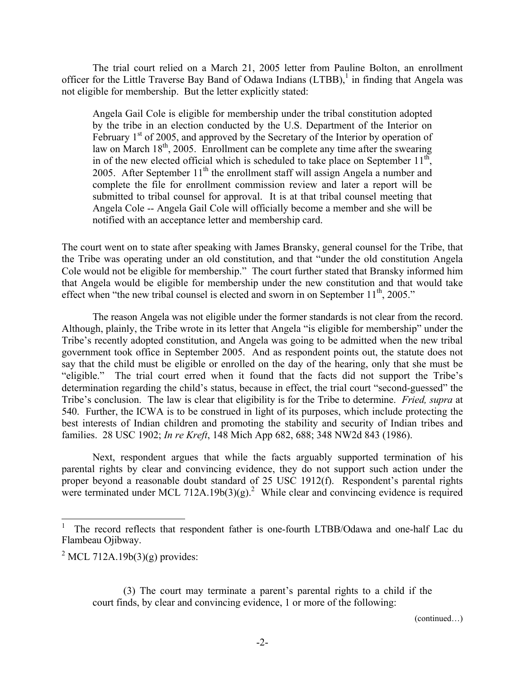The trial court relied on a March 21, 2005 letter from Pauline Bolton, an enrollment officer for the Little Traverse Bay Band of Odawa Indians  $(LTBB)$ , in finding that Angela was not eligible for membership. But the letter explicitly stated:

Angela Gail Cole is eligible for membership under the tribal constitution adopted by the tribe in an election conducted by the U.S. Department of the Interior on February  $1<sup>st</sup>$  of 2005, and approved by the Secretary of the Interior by operation of law on March 18<sup>th</sup>, 2005. Enrollment can be complete any time after the swearing in of the new elected official which is scheduled to take place on September  $11<sup>th</sup>$ , 2005. After September  $11<sup>th</sup>$  the enrollment staff will assign Angela a number and complete the file for enrollment commission review and later a report will be submitted to tribal counsel for approval. It is at that tribal counsel meeting that Angela Cole -- Angela Gail Cole will officially become a member and she will be notified with an acceptance letter and membership card.

The court went on to state after speaking with James Bransky, general counsel for the Tribe, that the Tribe was operating under an old constitution, and that "under the old constitution Angela Cole would not be eligible for membership." The court further stated that Bransky informed him that Angela would be eligible for membership under the new constitution and that would take effect when "the new tribal counsel is elected and sworn in on September  $11<sup>th</sup>$ , 2005."

 The reason Angela was not eligible under the former standards is not clear from the record. Although, plainly, the Tribe wrote in its letter that Angela "is eligible for membership" under the Tribe's recently adopted constitution, and Angela was going to be admitted when the new tribal government took office in September 2005. And as respondent points out, the statute does not say that the child must be eligible or enrolled on the day of the hearing, only that she must be "eligible." The trial court erred when it found that the facts did not support the Tribe's determination regarding the child's status, because in effect, the trial court "second-guessed" the Tribe's conclusion. The law is clear that eligibility is for the Tribe to determine. *Fried, supra* at 540. Further, the ICWA is to be construed in light of its purposes, which include protecting the best interests of Indian children and promoting the stability and security of Indian tribes and families. 28 USC 1902; *In re Kreft*, 148 Mich App 682, 688; 348 NW2d 843 (1986).

 Next, respondent argues that while the facts arguably supported termination of his parental rights by clear and convincing evidence, they do not support such action under the proper beyond a reasonable doubt standard of 25 USC 1912(f). Respondent's parental rights were terminated under MCL 712A.19b(3)(g).<sup>2</sup> While clear and convincing evidence is required

 $\overline{a}$ 

(continued…)

<sup>1</sup> The record reflects that respondent father is one-fourth LTBB/Odawa and one-half Lac du Flambeau Ojibway.

 $2^2$  MCL 712A.19b(3)(g) provides:

 <sup>(3)</sup> The court may terminate a parent's parental rights to a child if the court finds, by clear and convincing evidence, 1 or more of the following: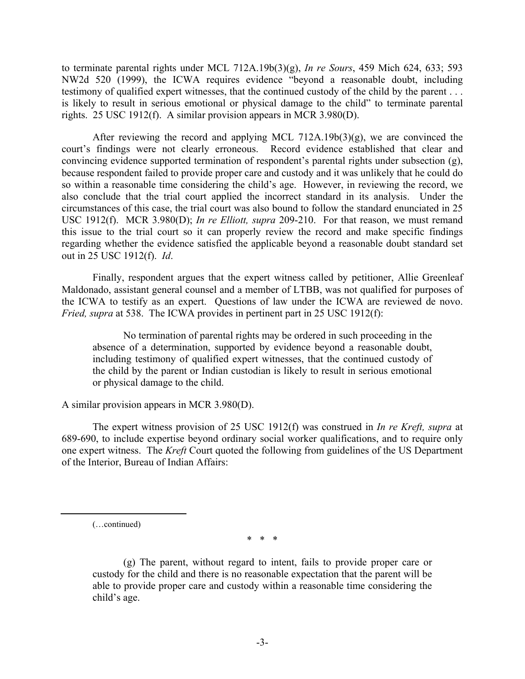to terminate parental rights under MCL 712A.19b(3)(g), *In re Sours*, 459 Mich 624, 633; 593 NW2d 520 (1999), the ICWA requires evidence "beyond a reasonable doubt, including testimony of qualified expert witnesses, that the continued custody of the child by the parent . . . is likely to result in serious emotional or physical damage to the child" to terminate parental rights. 25 USC 1912(f). A similar provision appears in MCR 3.980(D).

After reviewing the record and applying MCL 712A.19b(3)(g), we are convinced the court's findings were not clearly erroneous. Record evidence established that clear and convincing evidence supported termination of respondent's parental rights under subsection (g), because respondent failed to provide proper care and custody and it was unlikely that he could do so within a reasonable time considering the child's age. However, in reviewing the record, we also conclude that the trial court applied the incorrect standard in its analysis. Under the circumstances of this case, the trial court was also bound to follow the standard enunciated in 25 USC 1912(f). MCR 3.980(D); *In re Elliott, supra* 209-210. For that reason, we must remand this issue to the trial court so it can properly review the record and make specific findings regarding whether the evidence satisfied the applicable beyond a reasonable doubt standard set out in 25 USC 1912(f). *Id*.

 Finally, respondent argues that the expert witness called by petitioner, Allie Greenleaf Maldonado, assistant general counsel and a member of LTBB, was not qualified for purposes of the ICWA to testify as an expert. Questions of law under the ICWA are reviewed de novo. *Fried, supra* at 538. The ICWA provides in pertinent part in 25 USC 1912(f):

 No termination of parental rights may be ordered in such proceeding in the absence of a determination, supported by evidence beyond a reasonable doubt, including testimony of qualified expert witnesses, that the continued custody of the child by the parent or Indian custodian is likely to result in serious emotional or physical damage to the child.

A similar provision appears in MCR 3.980(D).

 The expert witness provision of 25 USC 1912(f) was construed in *In re Kreft, supra* at 689-690, to include expertise beyond ordinary social worker qualifications, and to require only one expert witness. The *Kreft* Court quoted the following from guidelines of the US Department of the Interior, Bureau of Indian Affairs:

(…continued)

\* \* \*

 (g) The parent, without regard to intent, fails to provide proper care or custody for the child and there is no reasonable expectation that the parent will be able to provide proper care and custody within a reasonable time considering the child's age.